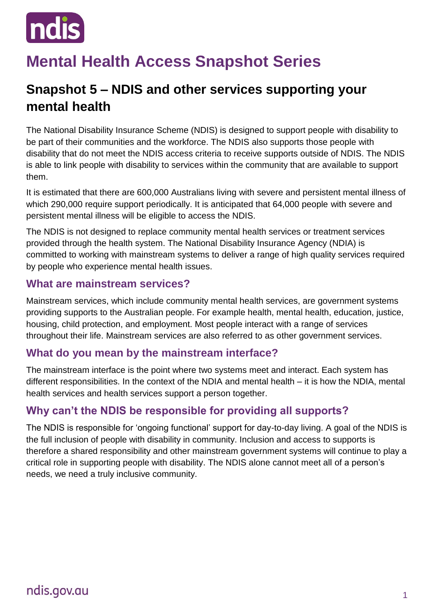

# **Mental Health Access Snapshot Series**

# **Snapshot 5 – NDIS and other services supporting your mental health**

The National Disability Insurance Scheme (NDIS) is designed to support people with disability to be part of their communities and the workforce. The NDIS also supports those people with disability that do not meet the NDIS access criteria to receive supports outside of NDIS. The NDIS is able to link people with disability to services within the community that are available to support them.

It is estimated that there are 600,000 Australians living with severe and persistent mental illness of which 290,000 require support periodically. It is anticipated that 64,000 people with severe and persistent mental illness will be eligible to access the NDIS.

The NDIS is not designed to replace community mental health services or treatment services provided through the health system. The National Disability Insurance Agency (NDIA) is committed to working with mainstream systems to deliver a range of high quality services required by people who experience mental health issues.

#### **What are mainstream services?**

Mainstream services, which include community mental health services, are government systems providing supports to the Australian people. For example health, mental health, education, justice, housing, child protection, and employment. Most people interact with a range of services throughout their life. Mainstream services are also referred to as other government services.

#### **What do you mean by the mainstream interface?**

The mainstream interface is the point where two systems meet and interact. Each system has different responsibilities. In the context of the NDIA and mental health – it is how the NDIA, mental health services and health services support a person together.

#### **Why can't the NDIS be responsible for providing all supports?**

The NDIS is responsible for 'ongoing functional' support for day-to-day living. A goal of the NDIS is the full inclusion of people with disability in community. Inclusion and access to supports is therefore a shared responsibility and other mainstream government systems will continue to play a critical role in supporting people with disability. The NDIS alone cannot meet all of a person's needs, we need a truly inclusive community.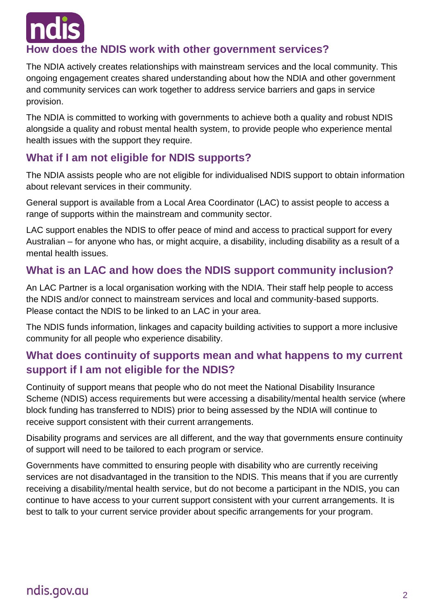

#### **How does the NDIS work with other government services?**

The NDIA actively creates relationships with mainstream services and the local community. This ongoing engagement creates shared understanding about how the NDIA and other government and community services can work together to address service barriers and gaps in service provision.

The NDIA is committed to working with governments to achieve both a quality and robust NDIS alongside a quality and robust mental health system, to provide people who experience mental health issues with the support they require.

### **What if I am not eligible for NDIS supports?**

The NDIA assists people who are not eligible for individualised NDIS support to obtain information about relevant services in their community.

General support is available from a Local Area Coordinator (LAC) to assist people to access a range of supports within the mainstream and community sector.

LAC support enables the NDIS to offer peace of mind and access to practical support for every Australian – for anyone who has, or might acquire, a disability, including disability as a result of a mental health issues.

#### **What is an LAC and how does the NDIS support community inclusion?**

An LAC Partner is a local organisation working with the NDIA. Their staff help people to access the NDIS and/or connect to mainstream services and local and community-based supports. Please contact the NDIS to be linked to an LAC in your area.

The NDIS funds information, linkages and capacity building activities to support a more inclusive community for all people who experience disability.

#### **What does continuity of supports mean and what happens to my current support if I am not eligible for the NDIS?**

Continuity of support means that people who do not meet the National Disability Insurance Scheme (NDIS) access requirements but were accessing a disability/mental health service (where block funding has transferred to NDIS) prior to being assessed by the NDIA will continue to receive support consistent with their current arrangements.

Disability programs and services are all different, and the way that governments ensure continuity of support will need to be tailored to each program or service.

Governments have committed to ensuring people with disability who are currently receiving services are not disadvantaged in the transition to the NDIS. This means that if you are currently receiving a disability/mental health service, but do not become a participant in the NDIS, you can continue to have access to your current support consistent with your current arrangements. It is best to talk to your current service provider about specific arrangements for your program.